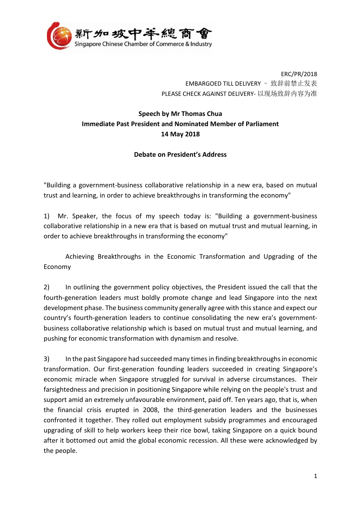

ERC/PR/2018 EMBARGOED TILL DELIVERY – 致辞前禁止发表 PLEASE CHECK AGAINST DELIVERY- 以现场致辞内容为准

## **Speech by Mr Thomas Chua Immediate Past President and Nominated Member of Parliament 14 May 2018**

## **Debate on President's Address**

"Building a government-business collaborative relationship in a new era, based on mutual trust and learning, in order to achieve breakthroughs in transforming the economy"

1) Mr. Speaker, the focus of my speech today is: "Building a government-business collaborative relationship in a new era that is based on mutual trust and mutual learning, in order to achieve breakthroughs in transforming the economy"

Achieving Breakthroughs in the Economic Transformation and Upgrading of the Economy

2) In outlining the government policy objectives, the President issued the call that the fourth-generation leaders must boldly promote change and lead Singapore into the next development phase. The business community generally agree with this stance and expect our country's fourth-generation leaders to continue consolidating the new era's governmentbusiness collaborative relationship which is based on mutual trust and mutual learning, and pushing for economic transformation with dynamism and resolve.

3) In the past Singapore had succeeded many times in finding breakthroughs in economic transformation. Our first-generation founding leaders succeeded in creating Singapore's economic miracle when Singapore struggled for survival in adverse circumstances. Their farsightedness and precision in positioning Singapore while relying on the people's trust and support amid an extremely unfavourable environment, paid off. Ten years ago, that is, when the financial crisis erupted in 2008, the third-generation leaders and the businesses confronted it together. They rolled out employment subsidy programmes and encouraged upgrading of skill to help workers keep their rice bowl, taking Singapore on a quick bound after it bottomed out amid the global economic recession. All these were acknowledged by the people.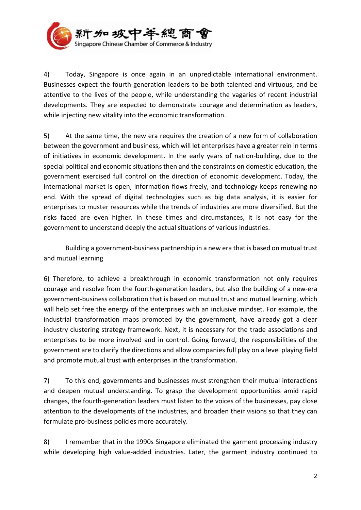

4) Today, Singapore is once again in an unpredictable international environment. Businesses expect the fourth-generation leaders to be both talented and virtuous, and be attentive to the lives of the people, while understanding the vagaries of recent industrial developments. They are expected to demonstrate courage and determination as leaders, while injecting new vitality into the economic transformation.

5) At the same time, the new era requires the creation of a new form of collaboration between the government and business, which will let enterprises have a greater rein in terms of initiatives in economic development. In the early years of nation-building, due to the special political and economic situations then and the constraints on domestic education, the government exercised full control on the direction of economic development. Today, the international market is open, information flows freely, and technology keeps renewing no end. With the spread of digital technologies such as big data analysis, it is easier for enterprises to muster resources while the trends of industries are more diversified. But the risks faced are even higher. In these times and circumstances, it is not easy for the government to understand deeply the actual situations of various industries.

Building a government-business partnership in a new era that is based on mutual trust and mutual learning

6) Therefore, to achieve a breakthrough in economic transformation not only requires courage and resolve from the fourth-generation leaders, but also the building of a new-era government-business collaboration that is based on mutual trust and mutual learning, which will help set free the energy of the enterprises with an inclusive mindset. For example, the industrial transformation maps promoted by the government, have already got a clear industry clustering strategy framework. Next, it is necessary for the trade associations and enterprises to be more involved and in control. Going forward, the responsibilities of the government are to clarify the directions and allow companies full play on a level playing field and promote mutual trust with enterprises in the transformation.

7) To this end, governments and businesses must strengthen their mutual interactions and deepen mutual understanding. To grasp the development opportunities amid rapid changes, the fourth-generation leaders must listen to the voices of the businesses, pay close attention to the developments of the industries, and broaden their visions so that they can formulate pro-business policies more accurately.

8) I remember that in the 1990s Singapore eliminated the garment processing industry while developing high value-added industries. Later, the garment industry continued to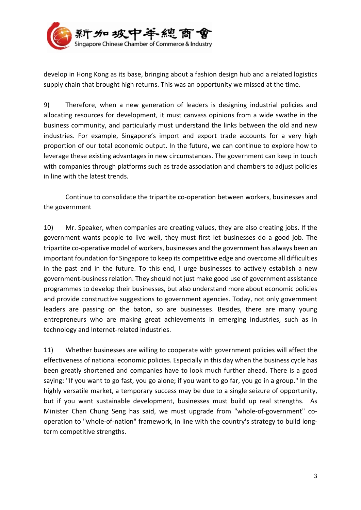

develop in Hong Kong as its base, bringing about a fashion design hub and a related logistics supply chain that brought high returns. This was an opportunity we missed at the time.

9) Therefore, when a new generation of leaders is designing industrial policies and allocating resources for development, it must canvass opinions from a wide swathe in the business community, and particularly must understand the links between the old and new industries. For example, Singapore's import and export trade accounts for a very high proportion of our total economic output. In the future, we can continue to explore how to leverage these existing advantages in new circumstances. The government can keep in touch with companies through platforms such as trade association and chambers to adjust policies in line with the latest trends.

Continue to consolidate the tripartite co-operation between workers, businesses and the government

10) Mr. Speaker, when companies are creating values, they are also creating jobs. If the government wants people to live well, they must first let businesses do a good job. The tripartite co-operative model of workers, businesses and the government has always been an important foundation for Singapore to keep its competitive edge and overcome all difficulties in the past and in the future. To this end, I urge businesses to actively establish a new government-business relation. They should not just make good use of government assistance programmes to develop their businesses, but also understand more about economic policies and provide constructive suggestions to government agencies. Today, not only government leaders are passing on the baton, so are businesses. Besides, there are many young entrepreneurs who are making great achievements in emerging industries, such as in technology and Internet-related industries.

11) Whether businesses are willing to cooperate with government policies will affect the effectiveness of national economic policies. Especially in this day when the business cycle has been greatly shortened and companies have to look much further ahead. There is a good saying: "If you want to go fast, you go alone; if you want to go far, you go in a group." In the highly versatile market, a temporary success may be due to a single seizure of opportunity, but if you want sustainable development, businesses must build up real strengths. As Minister Chan Chung Seng has said, we must upgrade from "whole-of-government" cooperation to "whole-of-nation" framework, in line with the country's strategy to build longterm competitive strengths.